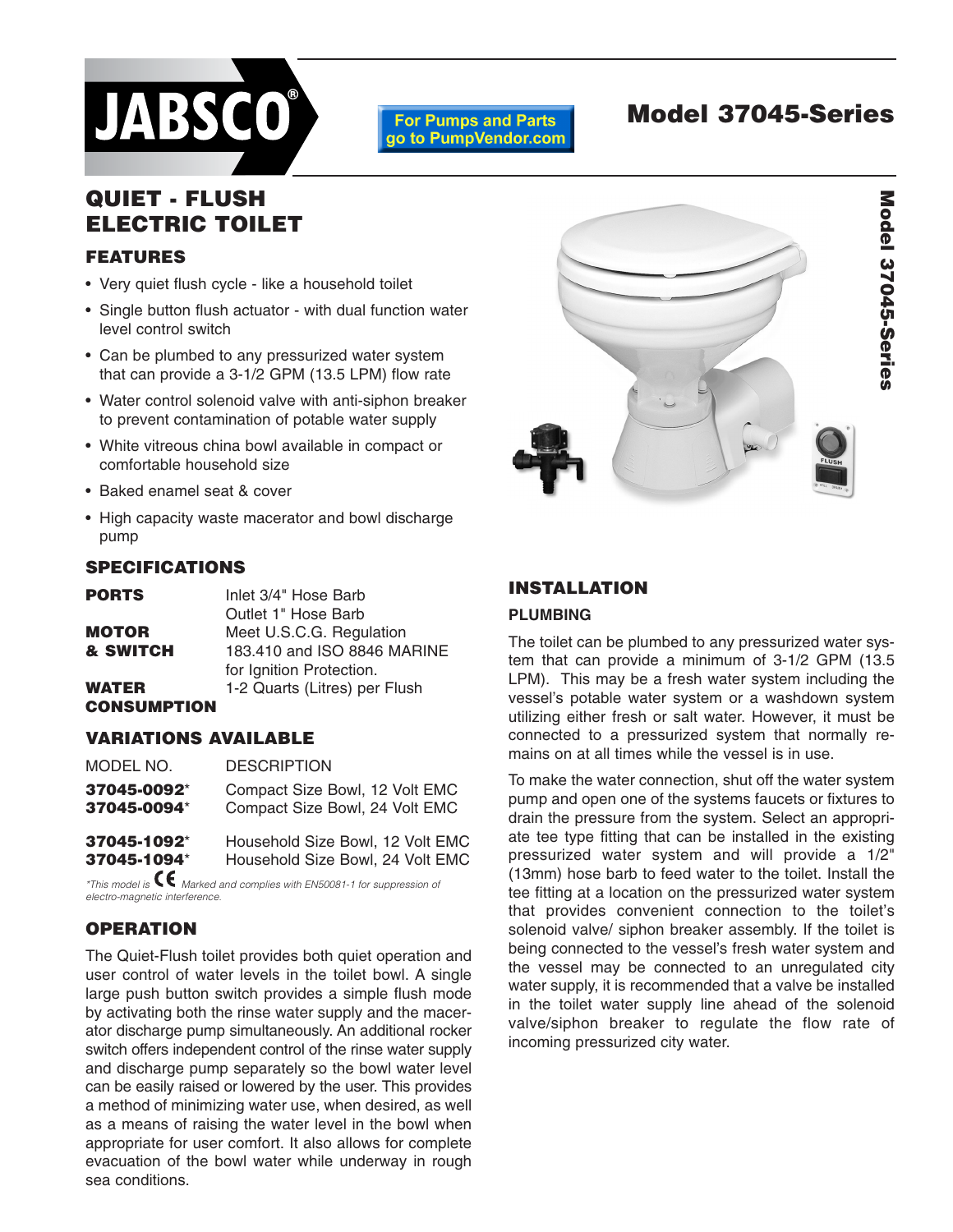

#### **For Pumps and Parts** go to PumpVendor.com

# **Model 37045-Series**

## **QUIET - FLUSH ELECTRIC TOILET**

## **FEATURES**

- Very quiet flush cycle like a household toilet
- Single button flush actuator with dual function water level control switch
- Can be plumbed to any pressurized water system that can provide a 3-1/2 GPM (13.5 LPM) flow rate
- Water control solenoid valve with anti-siphon breaker to prevent contamination of potable water supply
- White vitreous china bowl available in compact or comfortable household size
- Baked enamel seat & cover
- High capacity waste macerator and bowl discharge pump

## **SPECIFICATIONS**

| <b>PORTS</b>       | Inlet 3/4" Hose Barb          |
|--------------------|-------------------------------|
|                    | Outlet 1" Hose Barb           |
| MOTOR              | Meet U.S.C.G. Regulation      |
| & SWITCH           | 183.410 and ISO 8846 MARINE   |
|                    | for Ignition Protection.      |
| WATER              | 1-2 Quarts (Litres) per Flush |
| <b>CONSUMPTION</b> |                               |

## **VARIATIONS AVAILABLE**

| MODEL NO.   | <b>DESCRIPTION</b>               |
|-------------|----------------------------------|
| 37045-0092* | Compact Size Bowl, 12 Volt EMC   |
| 37045-0094* | Compact Size Bowl, 24 Volt EMC   |
| 37045-1092* | Household Size Bowl, 12 Volt EMC |
| 37045-1094* | Household Size Bowl, 24 Volt EMC |

*\*This model is Marked and complies with EN50081-1 for suppression of electro-magnetic interference.*

## **OPERATION**

The Quiet-Flush toilet provides both quiet operation and user control of water levels in the toilet bowl. A single large push button switch provides a simple flush mode by activating both the rinse water supply and the macerator discharge pump simultaneously. An additional rocker switch offers independent control of the rinse water supply and discharge pump separately so the bowl water level can be easily raised or lowered by the user. This provides a method of minimizing water use, when desired, as well as a means of raising the water level in the bowl when appropriate for user comfort. It also allows for complete evacuation of the bowl water while underway in rough sea conditions.



## **INSTALLATION**

#### **PLUMBING**

The toilet can be plumbed to any pressurized water system that can provide a minimum of 3-1/2 GPM (13.5 LPM). This may be a fresh water system including the vessel's potable water system or a washdown system utilizing either fresh or salt water. However, it must be connected to a pressurized system that normally remains on at all times while the vessel is in use.

To make the water connection, shut off the water system pump and open one of the systems faucets or fixtures to drain the pressure from the system. Select an appropriate tee type fitting that can be installed in the existing pressurized water system and will provide a 1/2" (13mm) hose barb to feed water to the toilet. Install the tee fitting at a location on the pressurized water system that provides convenient connection to the toilet's solenoid valve/ siphon breaker assembly. If the toilet is being connected to the vessel's fresh water system and the vessel may be connected to an unregulated city water supply, it is recommended that a valve be installed in the toilet water supply line ahead of the solenoid valve/siphon breaker to regulate the flow rate of incoming pressurized city water.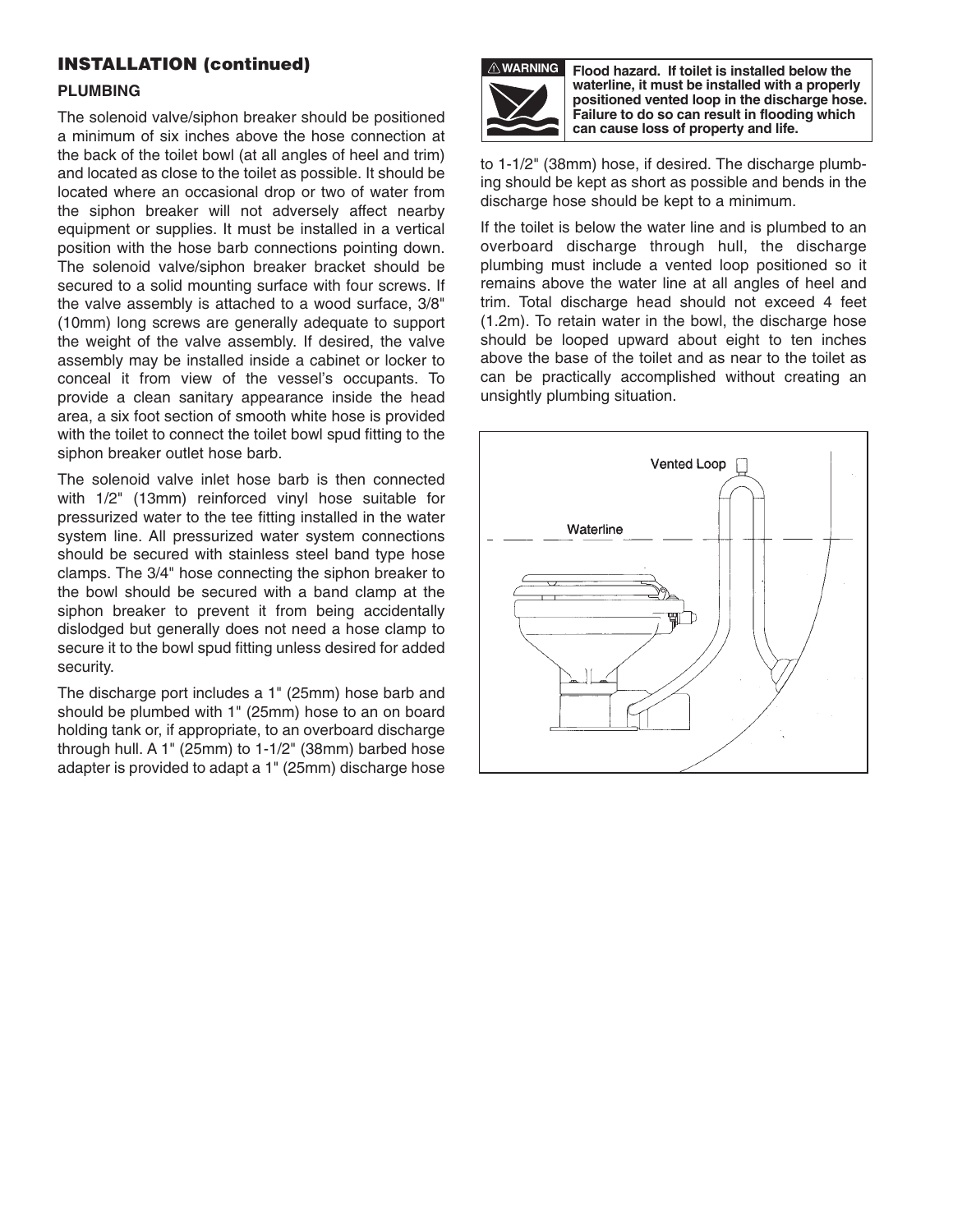## **INSTALLATION (continued)**

#### **PLUMBING**

The solenoid valve/siphon breaker should be positioned a minimum of six inches above the hose connection at the back of the toilet bowl (at all angles of heel and trim) and located as close to the toilet as possible. It should be located where an occasional drop or two of water from the siphon breaker will not adversely affect nearby equipment or supplies. It must be installed in a vertical position with the hose barb connections pointing down. The solenoid valve/siphon breaker bracket should be secured to a solid mounting surface with four screws. If the valve assembly is attached to a wood surface, 3/8" (10mm) long screws are generally adequate to support the weight of the valve assembly. If desired, the valve assembly may be installed inside a cabinet or locker to conceal it from view of the vessel's occupants. To provide a clean sanitary appearance inside the head area, a six foot section of smooth white hose is provided with the toilet to connect the toilet bowl spud fitting to the siphon breaker outlet hose barb.

The solenoid valve inlet hose barb is then connected with 1/2" (13mm) reinforced vinyl hose suitable for pressurized water to the tee fitting installed in the water system line. All pressurized water system connections should be secured with stainless steel band type hose clamps. The 3/4" hose connecting the siphon breaker to the bowl should be secured with a band clamp at the siphon breaker to prevent it from being accidentally dislodged but generally does not need a hose clamp to secure it to the bowl spud fitting unless desired for added security.

The discharge port includes a 1" (25mm) hose barb and should be plumbed with 1" (25mm) hose to an on board holding tank or, if appropriate, to an overboard discharge through hull. A 1" (25mm) to 1-1/2" (38mm) barbed hose adapter is provided to adapt a 1" (25mm) discharge hose



**Flood hazard. If toilet is installed below the waterline, it must be installed with a properly positioned vented loop in the discharge hose. Failure to do so can result in flooding which can cause loss of property and life.**

to 1-1/2" (38mm) hose, if desired. The discharge plumbing should be kept as short as possible and bends in the discharge hose should be kept to a minimum.

If the toilet is below the water line and is plumbed to an overboard discharge through hull, the discharge plumbing must include a vented loop positioned so it remains above the water line at all angles of heel and trim. Total discharge head should not exceed 4 feet (1.2m). To retain water in the bowl, the discharge hose should be looped upward about eight to ten inches above the base of the toilet and as near to the toilet as can be practically accomplished without creating an unsightly plumbing situation.

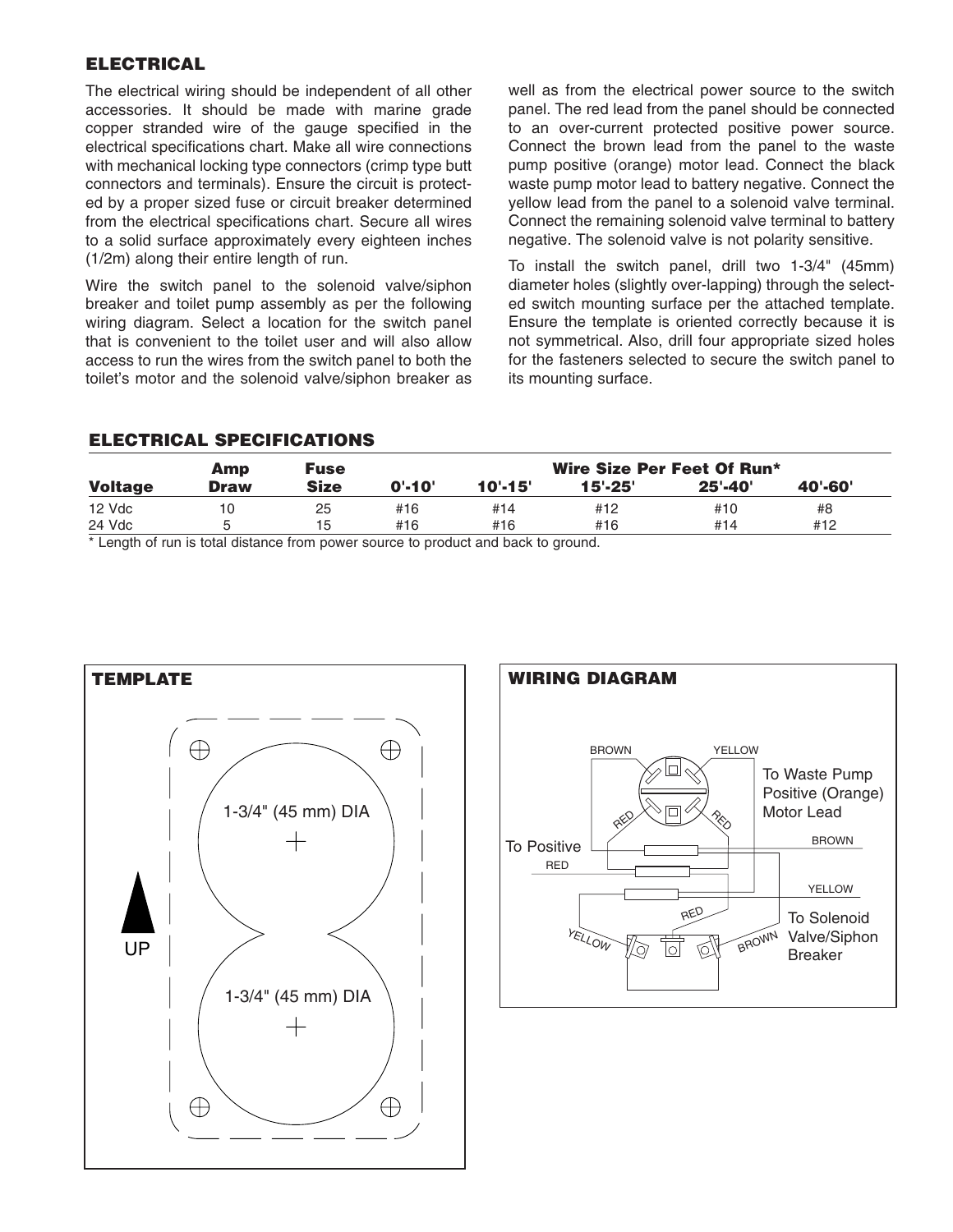## **ELECTRICAL**

The electrical wiring should be independent of all other accessories. It should be made with marine grade copper stranded wire of the gauge specified in the electrical specifications chart. Make all wire connections with mechanical locking type connectors (crimp type butt connectors and terminals). Ensure the circuit is protected by a proper sized fuse or circuit breaker determined from the electrical specifications chart. Secure all wires to a solid surface approximately every eighteen inches (1/2m) along their entire length of run.

Wire the switch panel to the solenoid valve/siphon breaker and toilet pump assembly as per the following wiring diagram. Select a location for the switch panel that is convenient to the toilet user and will also allow access to run the wires from the switch panel to both the toilet's motor and the solenoid valve/siphon breaker as well as from the electrical power source to the switch panel. The red lead from the panel should be connected to an over-current protected positive power source. Connect the brown lead from the panel to the waste pump positive (orange) motor lead. Connect the black waste pump motor lead to battery negative. Connect the yellow lead from the panel to a solenoid valve terminal. Connect the remaining solenoid valve terminal to battery negative. The solenoid valve is not polarity sensitive.

To install the switch panel, drill two 1-3/4" (45mm) diameter holes (slightly over-lapping) through the selected switch mounting surface per the attached template. Ensure the template is oriented correctly because it is not symmetrical. Also, drill four appropriate sized holes for the fasteners selected to secure the switch panel to its mounting surface.

#### **ELECTRICAL SPECIFICATIONS**

|                | Amp         | <b>Fuse</b> | Wire Size Per Feet Of Run* |             |             |             |         |  |
|----------------|-------------|-------------|----------------------------|-------------|-------------|-------------|---------|--|
| <b>Voltage</b> | <b>Draw</b> | <b>Size</b> | 0'.10'                     | $10' - 15'$ | $15' - 25'$ | $25' - 40'$ | 40'-60' |  |
| $12$ Vdc       | 10          | 25          | #16                        | #14         | #12         | #10         | #8      |  |
| 24 Vdc         |             | 15          | #16                        | #16         | #16         | #14         | #12     |  |

\* Length of run is total distance from power source to product and back to ground.



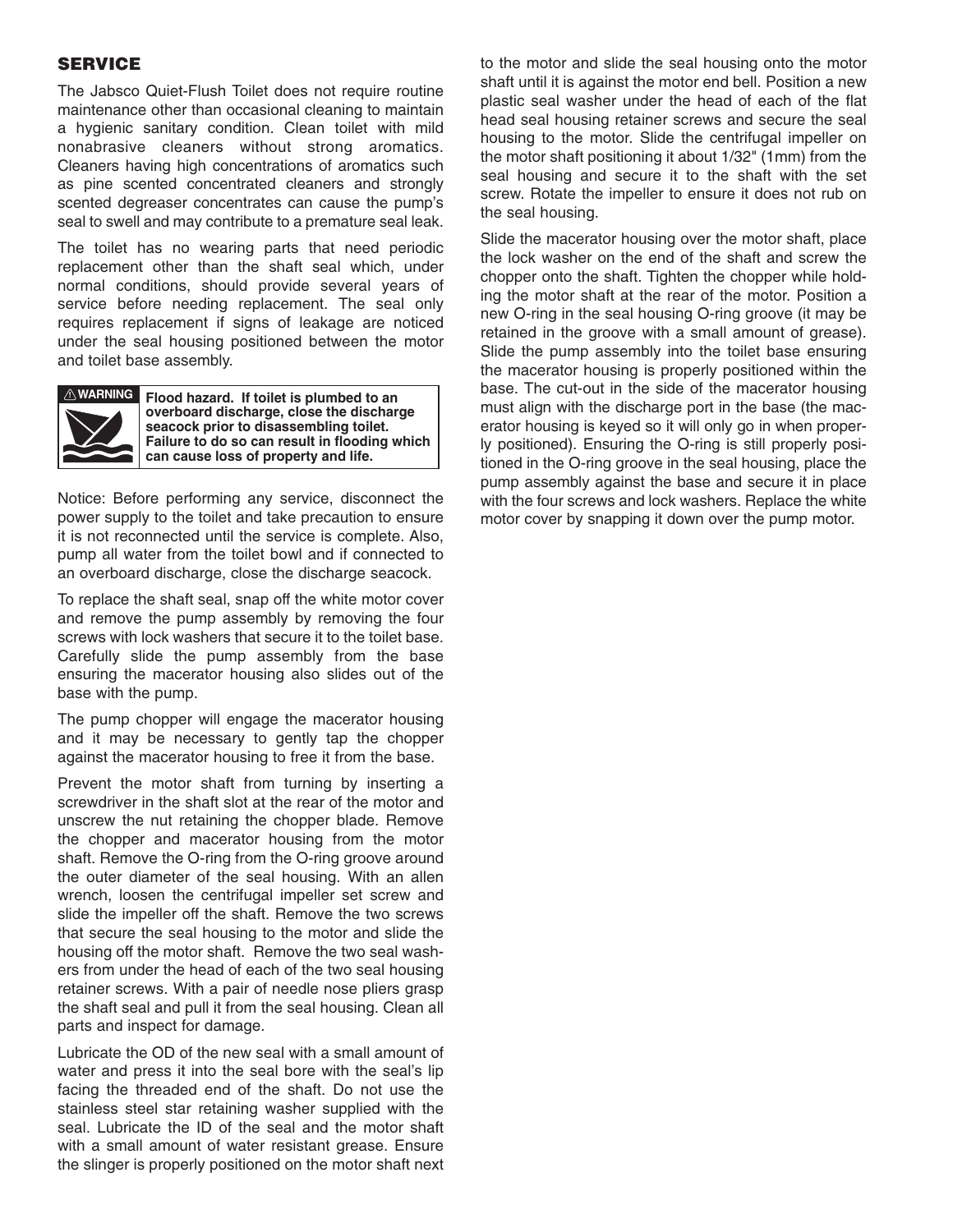#### **SERVICE**

The Jabsco Quiet-Flush Toilet does not require routine maintenance other than occasional cleaning to maintain a hygienic sanitary condition. Clean toilet with mild nonabrasive cleaners without strong aromatics. Cleaners having high concentrations of aromatics such as pine scented concentrated cleaners and strongly scented degreaser concentrates can cause the pump's seal to swell and may contribute to a premature seal leak.

The toilet has no wearing parts that need periodic replacement other than the shaft seal which, under normal conditions, should provide several years of service before needing replacement. The seal only requires replacement if signs of leakage are noticed under the seal housing positioned between the motor and toilet base assembly.



**Flood hazard. If toilet is plumbed to an WARNINGoverboard discharge, close the discharge seacock prior to disassembling toilet. Failure to do so can result in flooding which can cause loss of property and life.**

Notice: Before performing any service, disconnect the power supply to the toilet and take precaution to ensure it is not reconnected until the service is complete. Also, pump all water from the toilet bowl and if connected to an overboard discharge, close the discharge seacock.

To replace the shaft seal, snap off the white motor cover and remove the pump assembly by removing the four screws with lock washers that secure it to the toilet base. Carefully slide the pump assembly from the base ensuring the macerator housing also slides out of the base with the pump.

The pump chopper will engage the macerator housing and it may be necessary to gently tap the chopper against the macerator housing to free it from the base.

Prevent the motor shaft from turning by inserting a screwdriver in the shaft slot at the rear of the motor and unscrew the nut retaining the chopper blade. Remove the chopper and macerator housing from the motor shaft. Remove the O-ring from the O-ring groove around the outer diameter of the seal housing. With an allen wrench, loosen the centrifugal impeller set screw and slide the impeller off the shaft. Remove the two screws that secure the seal housing to the motor and slide the housing off the motor shaft. Remove the two seal washers from under the head of each of the two seal housing retainer screws. With a pair of needle nose pliers grasp the shaft seal and pull it from the seal housing. Clean all parts and inspect for damage.

Lubricate the OD of the new seal with a small amount of water and press it into the seal bore with the seal's lip facing the threaded end of the shaft. Do not use the stainless steel star retaining washer supplied with the seal. Lubricate the ID of the seal and the motor shaft with a small amount of water resistant grease. Ensure the slinger is properly positioned on the motor shaft next to the motor and slide the seal housing onto the motor shaft until it is against the motor end bell. Position a new plastic seal washer under the head of each of the flat head seal housing retainer screws and secure the seal housing to the motor. Slide the centrifugal impeller on the motor shaft positioning it about 1/32" (1mm) from the seal housing and secure it to the shaft with the set screw. Rotate the impeller to ensure it does not rub on the seal housing.

Slide the macerator housing over the motor shaft, place the lock washer on the end of the shaft and screw the chopper onto the shaft. Tighten the chopper while holding the motor shaft at the rear of the motor. Position a new O-ring in the seal housing O-ring groove (it may be retained in the groove with a small amount of grease). Slide the pump assembly into the toilet base ensuring the macerator housing is properly positioned within the base. The cut-out in the side of the macerator housing must align with the discharge port in the base (the macerator housing is keyed so it will only go in when properly positioned). Ensuring the O-ring is still properly positioned in the O-ring groove in the seal housing, place the pump assembly against the base and secure it in place with the four screws and lock washers. Replace the white motor cover by snapping it down over the pump motor.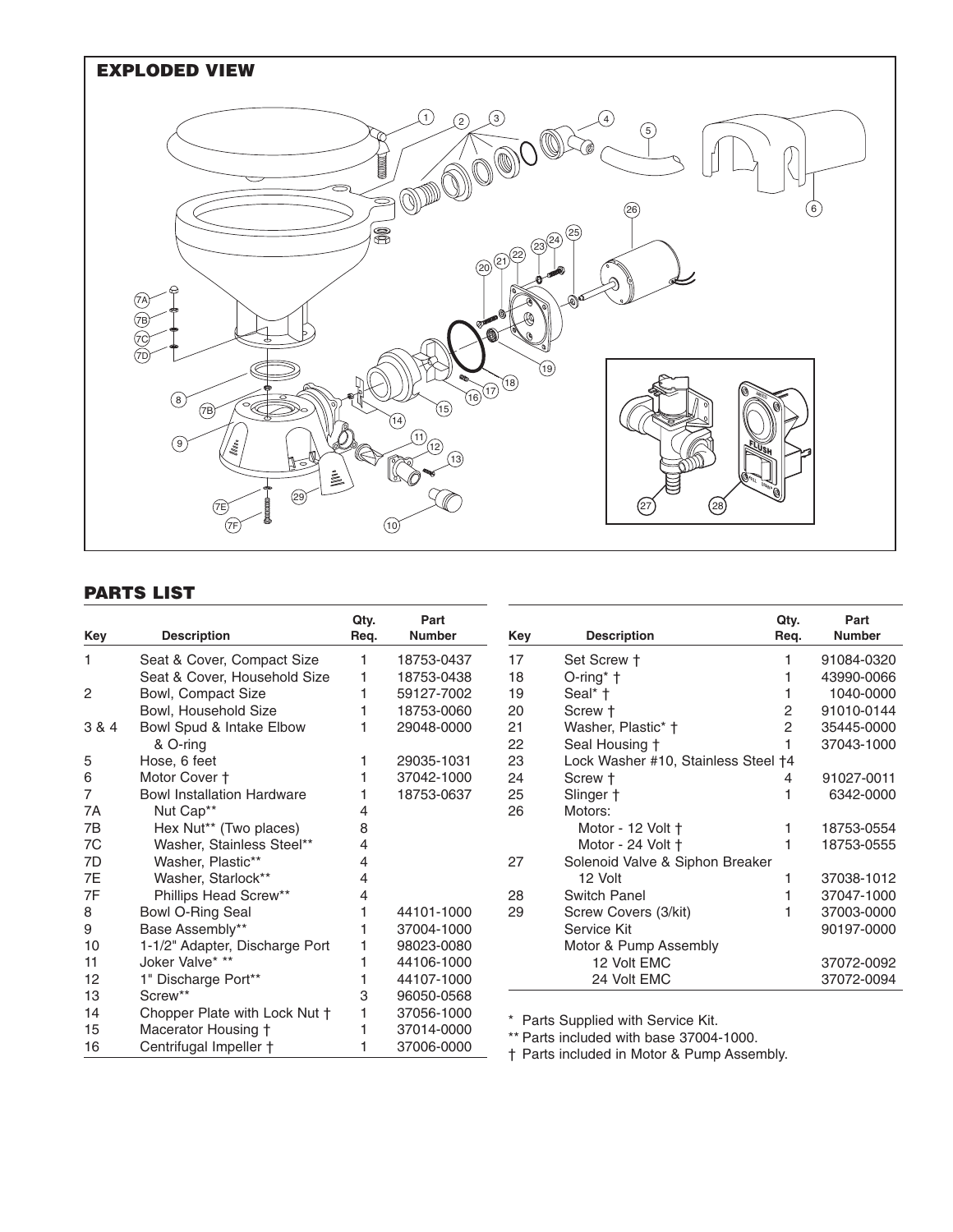

## **PARTS LIST**

| Key   | <b>Description</b>                | Qty.<br>Req. | Part<br><b>Number</b> | Key | <b>Description</b>                         | Qty.<br>Req. | Part<br><b>Number</b> |
|-------|-----------------------------------|--------------|-----------------------|-----|--------------------------------------------|--------------|-----------------------|
| 1     | Seat & Cover, Compact Size        |              | 18753-0437            | 17  | Set Screw +                                |              | 91084-0320            |
|       | Seat & Cover, Household Size      |              | 18753-0438            | 18  | $O$ -ring* $\dagger$                       |              | 43990-0066            |
| 2     | Bowl, Compact Size                |              | 59127-7002            | 19  | Seal* +                                    |              | 1040-0000             |
|       | Bowl, Household Size              |              | 18753-0060            | 20  | Screw +                                    | 2            | 91010-0144            |
| 3 & 4 | Bowl Spud & Intake Elbow          |              | 29048-0000            | 21  | Washer, Plastic* †                         | 2            | 35445-0000            |
|       | & O-ring                          |              |                       | 22  | Seal Housing +                             |              | 37043-1000            |
| 5     | Hose, 6 feet                      |              | 29035-1031            | 23  | Lock Washer #10, Stainless Steel +4        |              |                       |
| 6     | Motor Cover +                     |              | 37042-1000            | 24  | Screw +                                    | 4            | 91027-0011            |
| 7     | <b>Bowl Installation Hardware</b> |              | 18753-0637            | 25  | Slinger +                                  |              | 6342-0000             |
| 7Α    | Nut Cap**                         |              |                       | 26  | Motors:                                    |              |                       |
| 7B    | Hex Nut** (Two places)            |              |                       |     | Motor - 12 Volt +                          |              | 18753-0554            |
| 7C    | Washer, Stainless Steel**         | 4            |                       |     | Motor - 24 Volt +                          |              | 18753-0555            |
| 7D    | Washer, Plastic**                 |              |                       | 27  | Solenoid Valve & Siphon Breaker            |              |                       |
| 7E    | Washer, Starlock**                |              |                       |     | 12 Volt                                    |              | 37038-1012            |
| 7F    | Phillips Head Screw**             |              |                       | 28  | <b>Switch Panel</b>                        |              | 37047-1000            |
| 8     | Bowl O-Ring Seal                  |              | 44101-1000            | 29  | Screw Covers (3/kit)                       |              | 37003-0000            |
| 9     | Base Assembly**                   |              | 37004-1000            |     | Service Kit                                |              | 90197-0000            |
| 10    | 1-1/2" Adapter, Discharge Port    |              | 98023-0080            |     | Motor & Pump Assembly                      |              |                       |
| 11    | Joker Valve* **                   |              | 44106-1000            |     | 12 Volt EMC                                |              | 37072-0092            |
| 12    | 1" Discharge Port**               |              | 44107-1000            |     | 24 Volt EMC                                |              | 37072-0094            |
| 13    | Screw**                           | 3            | 96050-0568            |     |                                            |              |                       |
| 14    | Chopper Plate with Lock Nut +     |              | 37056-1000            |     | Parts Supplied with Service Kit.           |              |                       |
| 15    | Macerator Housing +               |              | 37014-0000            |     | ** Parts included with base 37004-1000.    |              |                       |
| 16    | Centrifugal Impeller †            |              | 37006-0000            |     | † Parts included in Motor & Pump Assembly. |              |                       |